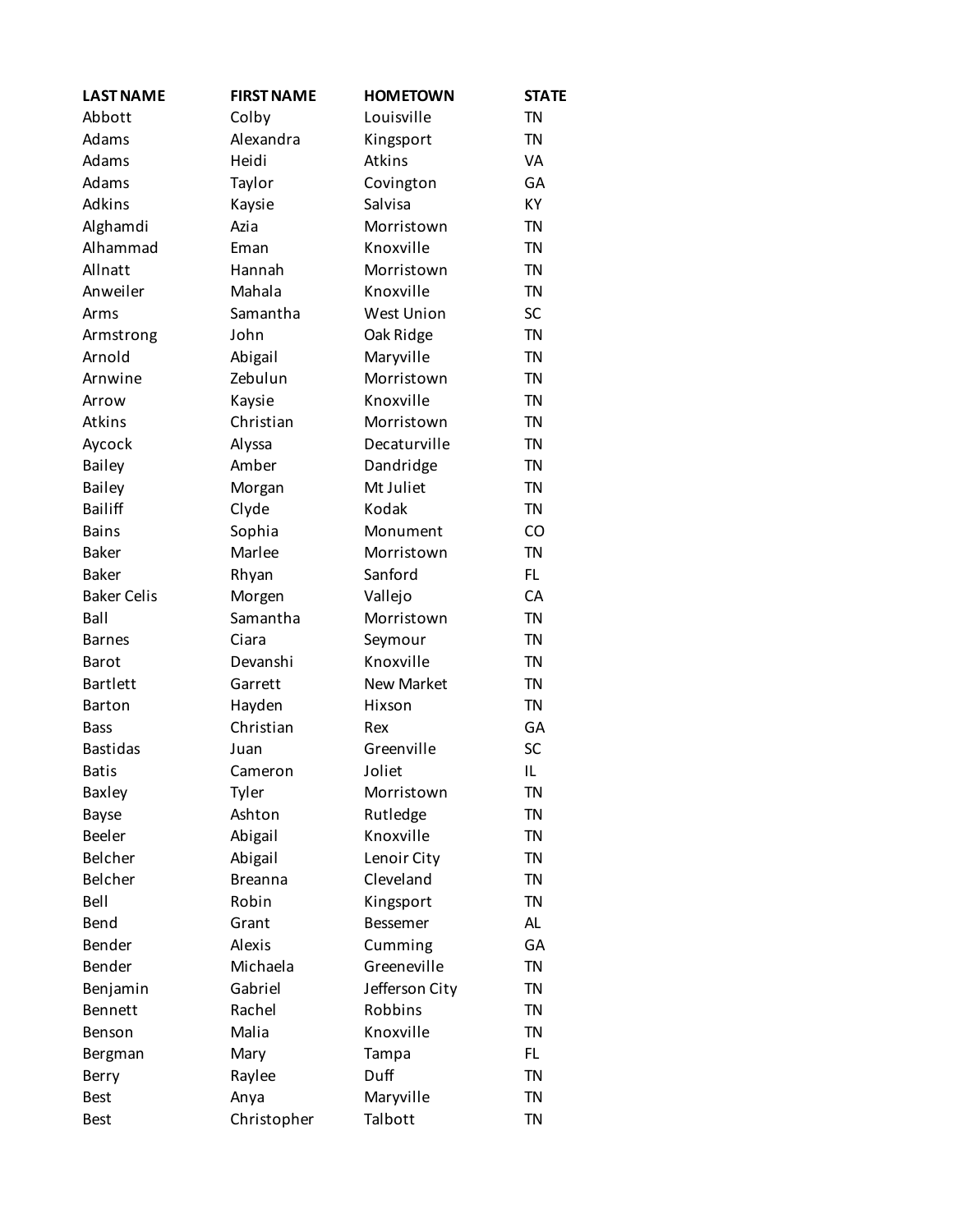| <b>LAST NAME</b>   | <b>FIRST NAME</b> | <b>HOMETOWN</b>   | <b>STATE</b> |
|--------------------|-------------------|-------------------|--------------|
| Abbott             | Colby             | Louisville        | <b>TN</b>    |
| Adams              | Alexandra         | Kingsport         | <b>TN</b>    |
| Adams              | Heidi             | Atkins            | VA           |
| Adams              | Taylor            | Covington         | GA           |
| Adkins             | Kaysie            | Salvisa           | <b>KY</b>    |
| Alghamdi           | Azia              | Morristown        | <b>TN</b>    |
| Alhammad           | Eman              | Knoxville         | <b>TN</b>    |
| Allnatt            | Hannah            | Morristown        | <b>TN</b>    |
| Anweiler           | Mahala            | Knoxville         | <b>TN</b>    |
| Arms               | Samantha          | <b>West Union</b> | SC           |
| Armstrong          | John              | Oak Ridge         | <b>TN</b>    |
| Arnold             | Abigail           | Maryville         | <b>TN</b>    |
| Arnwine            | Zebulun           | Morristown        | <b>TN</b>    |
| Arrow              | Kaysie            | Knoxville         | <b>TN</b>    |
| Atkins             | Christian         | Morristown        | <b>TN</b>    |
| Aycock             | Alyssa            | Decaturville      | <b>TN</b>    |
| Bailey             | Amber             | Dandridge         | <b>TN</b>    |
| Bailey             | Morgan            | Mt Juliet         | <b>TN</b>    |
| <b>Bailiff</b>     | Clyde             | Kodak             | <b>TN</b>    |
| <b>Bains</b>       | Sophia            | Monument          | CO           |
| <b>Baker</b>       | Marlee            | Morristown        | <b>TN</b>    |
| <b>Baker</b>       | Rhyan             | Sanford           | FL.          |
| <b>Baker Celis</b> | Morgen            | Vallejo           | CA           |
| Ball               | Samantha          | Morristown        | <b>TN</b>    |
| <b>Barnes</b>      | Ciara             | Seymour           | <b>TN</b>    |
| <b>Barot</b>       | Devanshi          | Knoxville         | <b>TN</b>    |
| <b>Bartlett</b>    | Garrett           | <b>New Market</b> | <b>TN</b>    |
| <b>Barton</b>      | Hayden            | Hixson            | <b>TN</b>    |
| <b>Bass</b>        | Christian         | Rex               | GA           |
| <b>Bastidas</b>    | Juan              | Greenville        | <b>SC</b>    |
| <b>Batis</b>       | Cameron           | Joliet            | IL           |
| <b>Baxley</b>      | Tyler             | Morristown        | ΤN           |
| <b>Bayse</b>       | Ashton            | Rutledge          | TN           |
| <b>Beeler</b>      | Abigail           | Knoxville         | <b>TN</b>    |
| Belcher            | Abigail           | Lenoir City       | <b>TN</b>    |
| Belcher            | <b>Breanna</b>    | Cleveland         | <b>TN</b>    |
| Bell               | Robin             | Kingsport         | <b>TN</b>    |
| Bend               | Grant             | <b>Bessemer</b>   | AL           |
| Bender             | Alexis            | Cumming           | GA           |
| Bender             | Michaela          | Greeneville       | <b>TN</b>    |
| Benjamin           | Gabriel           | Jefferson City    | <b>TN</b>    |
| Bennett            | Rachel            | Robbins           | <b>TN</b>    |
| Benson             | Malia             | Knoxville         | <b>TN</b>    |
| Bergman            | Mary              | Tampa             | FL.          |
| Berry              | Raylee            | Duff              | TN           |
| <b>Best</b>        | Anya              | Maryville         | <b>TN</b>    |
| <b>Best</b>        | Christopher       | Talbott           | <b>TN</b>    |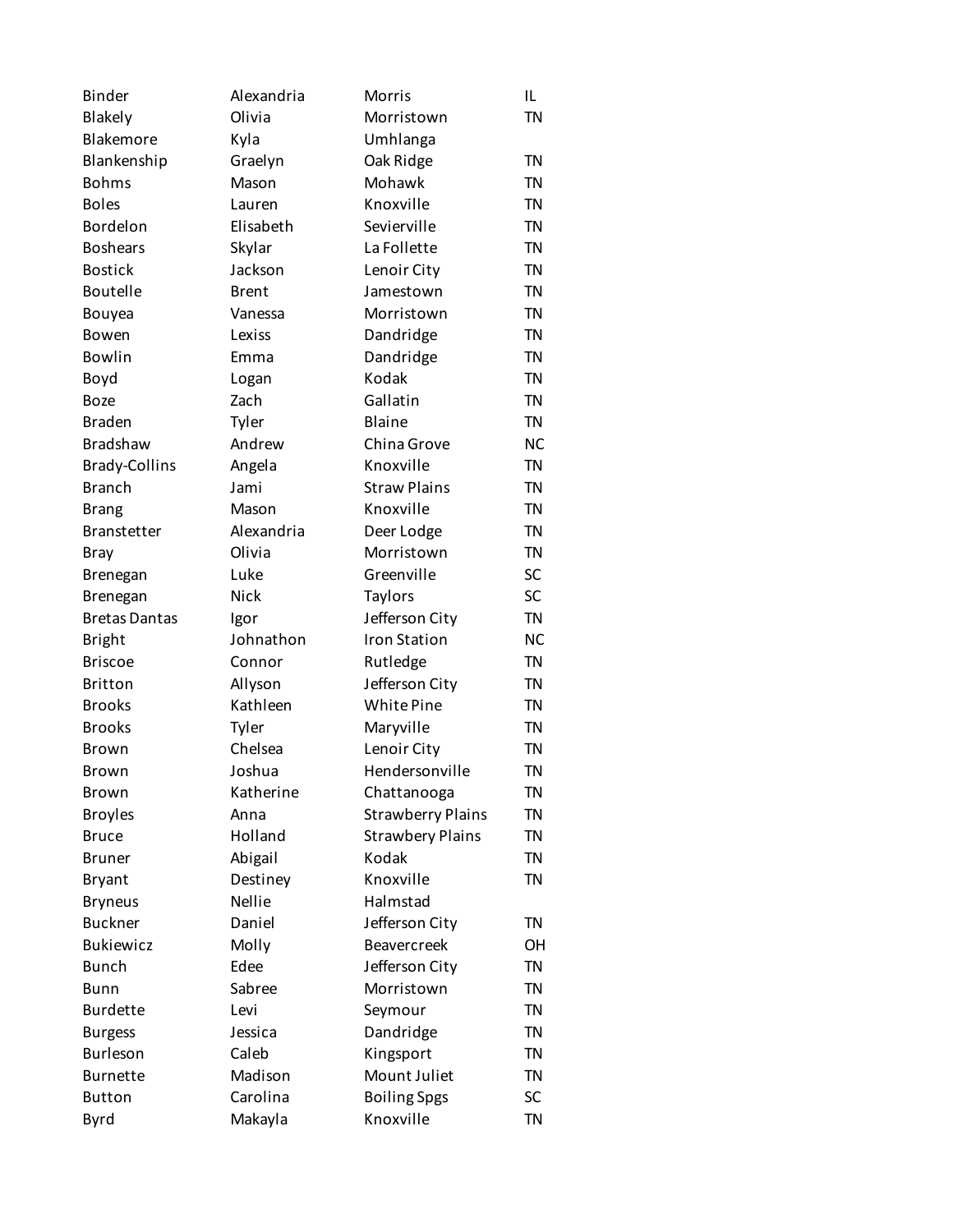| <b>Binder</b>        | Alexandria   | Morris                   | IL        |
|----------------------|--------------|--------------------------|-----------|
| Blakely              | Olivia       | Morristown               | <b>TN</b> |
| Blakemore            | Kyla         | Umhlanga                 |           |
| Blankenship          | Graelyn      | Oak Ridge                | <b>TN</b> |
| <b>Bohms</b>         | Mason        | Mohawk                   | <b>TN</b> |
| <b>Boles</b>         | Lauren       | Knoxville                | <b>TN</b> |
| Bordelon             | Elisabeth    | Sevierville              | <b>TN</b> |
| <b>Boshears</b>      | Skylar       | La Follette              | <b>TN</b> |
| <b>Bostick</b>       | Jackson      | Lenoir City              | <b>TN</b> |
| <b>Boutelle</b>      | <b>Brent</b> | Jamestown                | <b>TN</b> |
| Bouyea               | Vanessa      | Morristown               | <b>TN</b> |
| Bowen                | Lexiss       | Dandridge                | <b>TN</b> |
| <b>Bowlin</b>        | Emma         | Dandridge                | <b>TN</b> |
| Boyd                 | Logan        | Kodak                    | <b>TN</b> |
| <b>Boze</b>          | Zach         | Gallatin                 | <b>TN</b> |
| <b>Braden</b>        | Tyler        | <b>Blaine</b>            | <b>TN</b> |
| <b>Bradshaw</b>      | Andrew       | China Grove              | <b>NC</b> |
| <b>Brady-Collins</b> | Angela       | Knoxville                | <b>TN</b> |
| <b>Branch</b>        | Jami         | <b>Straw Plains</b>      | <b>TN</b> |
| <b>Brang</b>         | Mason        | Knoxville                | <b>TN</b> |
| <b>Branstetter</b>   | Alexandria   | Deer Lodge               | <b>TN</b> |
| <b>Bray</b>          | Olivia       | Morristown               | <b>TN</b> |
| Brenegan             | Luke         | Greenville               | SC        |
| Brenegan             | <b>Nick</b>  | <b>Taylors</b>           | SC        |
| <b>Bretas Dantas</b> | Igor         | Jefferson City           | <b>TN</b> |
| <b>Bright</b>        | Johnathon    | <b>Iron Station</b>      | <b>NC</b> |
| <b>Briscoe</b>       | Connor       | Rutledge                 | <b>TN</b> |
| <b>Britton</b>       | Allyson      | Jefferson City           | <b>TN</b> |
| <b>Brooks</b>        | Kathleen     | White Pine               | <b>TN</b> |
| <b>Brooks</b>        | Tyler        | Maryville                | <b>TN</b> |
| <b>Brown</b>         | Chelsea      | Lenoir City              | <b>TN</b> |
| <b>Brown</b>         | Joshua       | Hendersonville           | <b>TN</b> |
| Brown                | Katherine    | Chattanooga              | TN        |
| <b>Broyles</b>       | Anna         | <b>Strawberry Plains</b> | <b>TN</b> |
| <b>Bruce</b>         | Holland      | <b>Strawbery Plains</b>  | <b>TN</b> |
| <b>Bruner</b>        | Abigail      | Kodak                    | <b>TN</b> |
| <b>Bryant</b>        | Destiney     | Knoxville                | <b>TN</b> |
| <b>Bryneus</b>       | Nellie       | Halmstad                 |           |
| <b>Buckner</b>       | Daniel       | Jefferson City           | <b>TN</b> |
| <b>Bukiewicz</b>     | Molly        | <b>Beavercreek</b>       | OН        |
| <b>Bunch</b>         | Edee         | Jefferson City           | <b>TN</b> |
| Bunn                 | Sabree       | Morristown               | <b>TN</b> |
| <b>Burdette</b>      | Levi         | Seymour                  | <b>TN</b> |
| <b>Burgess</b>       | Jessica      | Dandridge                | <b>TN</b> |
| Burleson             | Caleb        | Kingsport                | <b>TN</b> |
| <b>Burnette</b>      | Madison      | Mount Juliet             | <b>TN</b> |
| <b>Button</b>        | Carolina     | <b>Boiling Spgs</b>      | SC        |
| Byrd                 | Makayla      | Knoxville                | <b>TN</b> |
|                      |              |                          |           |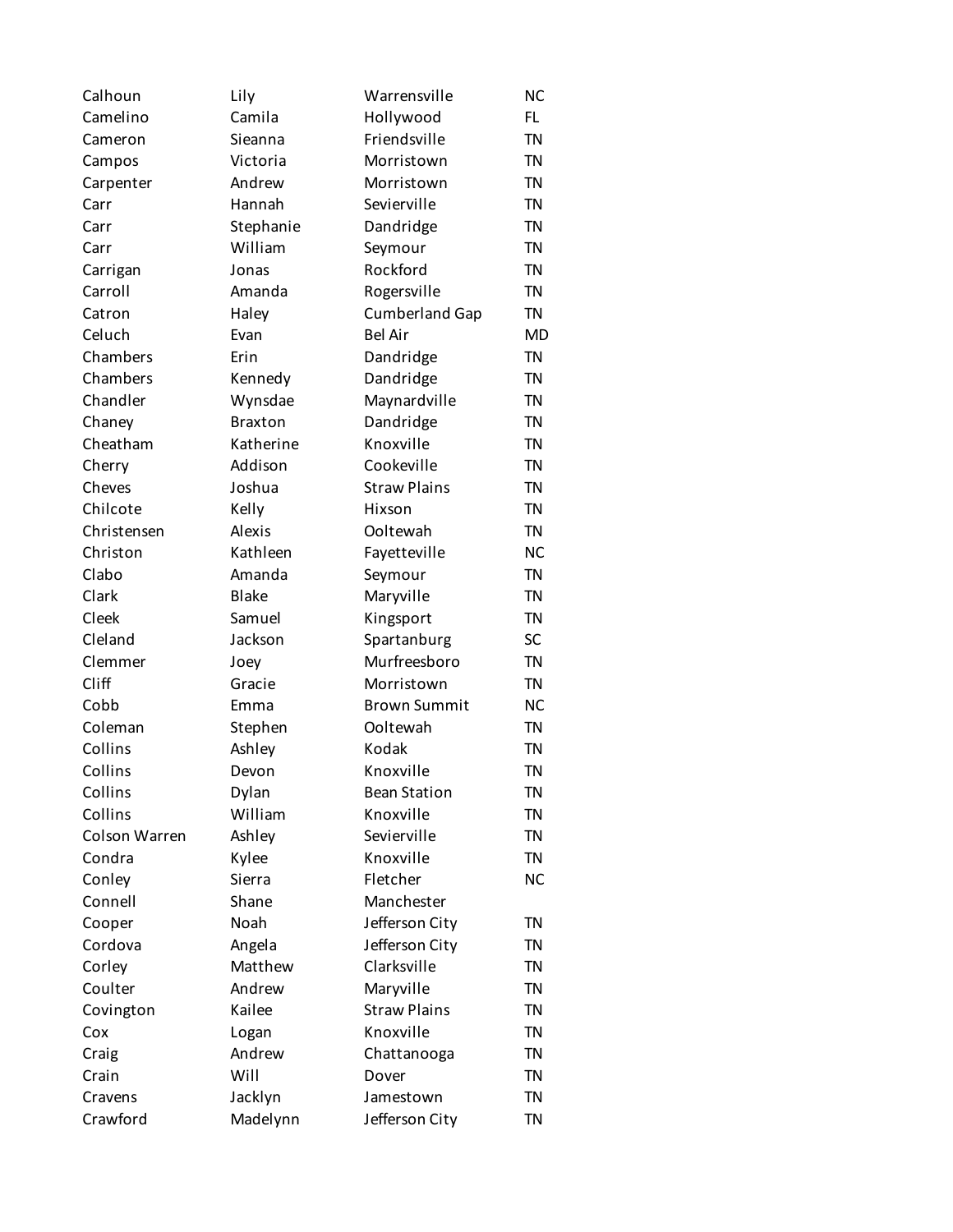| Calhoun       | Lily           | Warrensville          | <b>NC</b> |
|---------------|----------------|-----------------------|-----------|
| Camelino      | Camila         | Hollywood             | FL.       |
| Cameron       | Sieanna        | Friendsville          | <b>TN</b> |
| Campos        | Victoria       | Morristown            | <b>TN</b> |
| Carpenter     | Andrew         | Morristown            | <b>TN</b> |
| Carr          | Hannah         | Sevierville           | <b>TN</b> |
| Carr          | Stephanie      | Dandridge             | <b>TN</b> |
| Carr          | William        | Seymour               | <b>TN</b> |
| Carrigan      | Jonas          | Rockford              | <b>TN</b> |
| Carroll       | Amanda         | Rogersville           | <b>TN</b> |
| Catron        | Haley          | <b>Cumberland Gap</b> | <b>TN</b> |
| Celuch        | Evan           | <b>Bel Air</b>        | <b>MD</b> |
| Chambers      | Erin           | Dandridge             | <b>TN</b> |
| Chambers      | Kennedy        | Dandridge             | <b>TN</b> |
| Chandler      | Wynsdae        | Maynardville          | <b>TN</b> |
| Chaney        | <b>Braxton</b> | Dandridge             | <b>TN</b> |
| Cheatham      | Katherine      | Knoxville             | <b>TN</b> |
| Cherry        | Addison        | Cookeville            | <b>TN</b> |
| Cheves        | Joshua         | <b>Straw Plains</b>   | <b>TN</b> |
| Chilcote      | Kelly          | Hixson                | <b>TN</b> |
| Christensen   | Alexis         | Ooltewah              | <b>TN</b> |
| Christon      | Kathleen       | Fayetteville          | <b>NC</b> |
| Clabo         | Amanda         | Seymour               | <b>TN</b> |
| Clark         | <b>Blake</b>   | Maryville             | <b>TN</b> |
| Cleek         | Samuel         | Kingsport             | <b>TN</b> |
| Cleland       | Jackson        | Spartanburg           | SC        |
| Clemmer       | Joey           | Murfreesboro          | <b>TN</b> |
| Cliff         | Gracie         | Morristown            | <b>TN</b> |
| Cobb          | Emma           | <b>Brown Summit</b>   | <b>NC</b> |
| Coleman       | Stephen        | Ooltewah              | <b>TN</b> |
| Collins       | Ashley         | Kodak                 | <b>TN</b> |
| Collins       | Devon          | Knoxville             | <b>TN</b> |
| Collins       | Dylan          | <b>Bean Station</b>   | ΤN        |
| Collins       | William        | Knoxville             | <b>TN</b> |
| Colson Warren | Ashley         | Sevierville           | <b>TN</b> |
| Condra        | Kylee          | Knoxville             | <b>TN</b> |
| Conley        | Sierra         | Fletcher              | <b>NC</b> |
| Connell       | Shane          | Manchester            |           |
| Cooper        | Noah           | Jefferson City        | <b>TN</b> |
| Cordova       | Angela         | Jefferson City        | <b>TN</b> |
| Corley        | Matthew        | Clarksville           | <b>TN</b> |
| Coulter       | Andrew         | Maryville             | <b>TN</b> |
| Covington     | Kailee         | <b>Straw Plains</b>   | <b>TN</b> |
| Cox           | Logan          | Knoxville             | <b>TN</b> |
| Craig         | Andrew         | Chattanooga           | <b>TN</b> |
| Crain         | Will           | Dover                 | <b>TN</b> |
| Cravens       | Jacklyn        | Jamestown             | <b>TN</b> |
| Crawford      | Madelynn       | Jefferson City        | <b>TN</b> |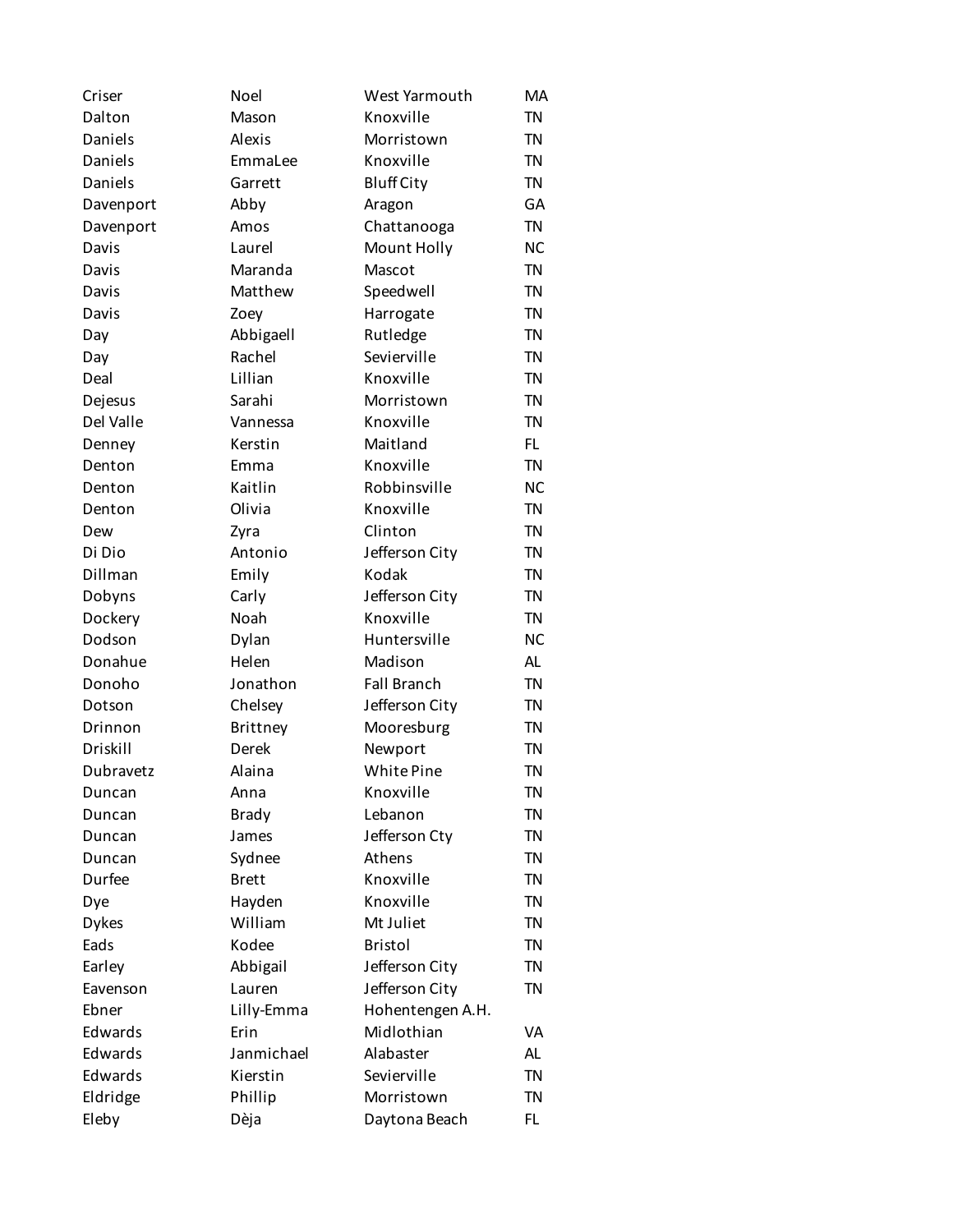| Criser            | Noel         | West Yarmouth                 | <b>MA</b> |
|-------------------|--------------|-------------------------------|-----------|
| Dalton            | Mason        | Knoxville                     | <b>TN</b> |
| Daniels           | Alexis       | Morristown                    | <b>TN</b> |
| Daniels           | EmmaLee      | Knoxville                     | <b>TN</b> |
| Daniels           | Garrett      | <b>Bluff City</b>             | <b>TN</b> |
| Davenport         | Abby         | Aragon                        | GA        |
| Davenport         | Amos         | Chattanooga                   | <b>TN</b> |
| Davis             | Laurel       | Mount Holly                   | <b>NC</b> |
| Davis             | Maranda      | Mascot                        | <b>TN</b> |
| Davis             | Matthew      | Speedwell                     | <b>TN</b> |
| Davis             | Zoey         | Harrogate                     | <b>TN</b> |
| Day               | Abbigaell    | Rutledge                      | <b>TN</b> |
| Day               | Rachel       | Sevierville                   | <b>TN</b> |
| Deal              | Lillian      | Knoxville                     | <b>TN</b> |
| Dejesus           | Sarahi       | Morristown                    | <b>TN</b> |
| Del Valle         | Vannessa     | Knoxville                     | <b>TN</b> |
| Denney            | Kerstin      | Maitland                      | FL.       |
| Denton            | Emma         | Knoxville                     | <b>TN</b> |
| Denton            | Kaitlin      | Robbinsville                  | <b>NC</b> |
| Denton            | Olivia       | Knoxville                     | <b>TN</b> |
| Dew               | Zyra         | Clinton                       | <b>TN</b> |
| Di Dio            | Antonio      | Jefferson City                | <b>TN</b> |
| Dillman           | Emily        | Kodak                         | <b>TN</b> |
|                   | Carly        | Jefferson City                | <b>TN</b> |
| Dobyns<br>Dockery | Noah         | Knoxville                     | <b>TN</b> |
|                   |              |                               |           |
| Dodson            | Dylan        | Huntersville                  | <b>NC</b> |
| Donahue           | Helen        | Madison<br><b>Fall Branch</b> | <b>AL</b> |
| Donoho            | Jonathon     |                               | <b>TN</b> |
| Dotson            | Chelsey      | Jefferson City                | <b>TN</b> |
| Drinnon           | Brittney     | Mooresburg                    | <b>TN</b> |
| Driskill          | Derek        | Newport                       | <b>TN</b> |
| Dubravetz         | Alaina       | White Pine                    | <b>TN</b> |
| Duncan            | Anna         | Knoxville                     | ΤN        |
| Duncan            | <b>Brady</b> | Lebanon                       | <b>TN</b> |
| Duncan            | James        | Jefferson Cty                 | <b>TN</b> |
| Duncan            | Sydnee       | Athens                        | <b>TN</b> |
| Durfee            | <b>Brett</b> | Knoxville                     | <b>TN</b> |
| Dye               | Hayden       | Knoxville                     | <b>TN</b> |
| <b>Dykes</b>      | William      | Mt Juliet                     | <b>TN</b> |
| Eads              | Kodee        | <b>Bristol</b>                | <b>TN</b> |
| Earley            | Abbigail     | Jefferson City                | <b>TN</b> |
| Eavenson          | Lauren       | Jefferson City                | <b>TN</b> |
| Ebner             | Lilly-Emma   | Hohentengen A.H.              |           |
| Edwards           | Erin         | Midlothian                    | VA        |
| Edwards           | Janmichael   | Alabaster                     | AL        |
| Edwards           | Kierstin     | Sevierville                   | <b>TN</b> |
| Eldridge          | Phillip      | Morristown                    | <b>TN</b> |
| Eleby             | Dèja         | Daytona Beach                 | FL.       |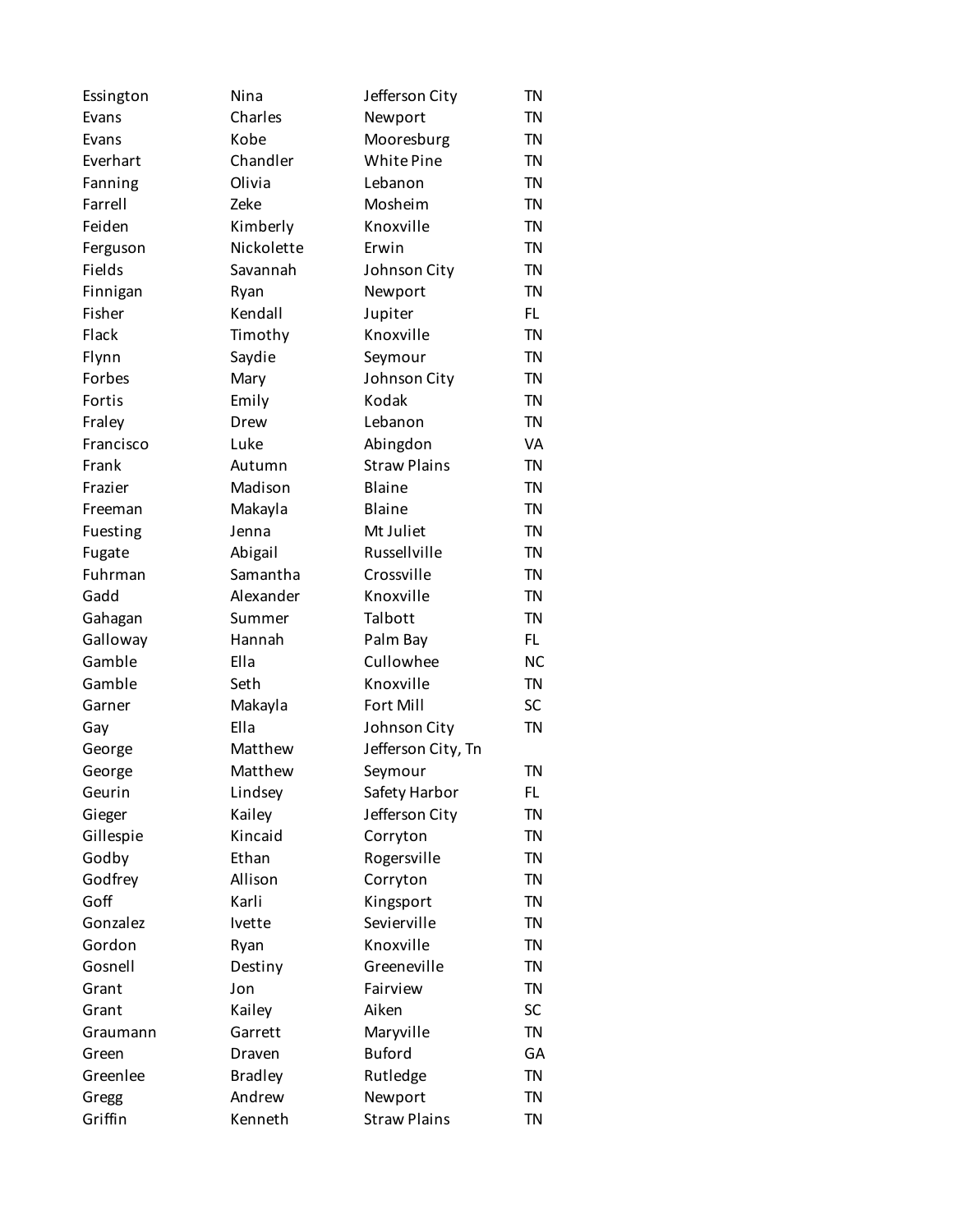| Essington | Nina           | Jefferson City      | <b>TN</b> |
|-----------|----------------|---------------------|-----------|
| Evans     | Charles        | Newport             | <b>TN</b> |
| Evans     | Kobe           | Mooresburg          | <b>TN</b> |
| Everhart  | Chandler       | White Pine          | <b>TN</b> |
| Fanning   | Olivia         | Lebanon             | <b>TN</b> |
| Farrell   | Zeke           | Mosheim             | <b>TN</b> |
| Feiden    | Kimberly       | Knoxville           | <b>TN</b> |
| Ferguson  | Nickolette     | Erwin               | <b>TN</b> |
| Fields    | Savannah       | Johnson City        | <b>TN</b> |
| Finnigan  | Ryan           | Newport             | <b>TN</b> |
| Fisher    | Kendall        | Jupiter             | FL        |
| Flack     | Timothy        | Knoxville           | <b>TN</b> |
| Flynn     | Saydie         | Seymour             | <b>TN</b> |
| Forbes    | Mary           | Johnson City        | <b>TN</b> |
| Fortis    | Emily          | Kodak               | <b>TN</b> |
| Fraley    | Drew           | Lebanon             | <b>TN</b> |
| Francisco | Luke           | Abingdon            | VA        |
| Frank     | Autumn         | <b>Straw Plains</b> | <b>TN</b> |
| Frazier   | Madison        | Blaine              | <b>TN</b> |
| Freeman   | Makayla        | <b>Blaine</b>       | <b>TN</b> |
| Fuesting  | Jenna          | Mt Juliet           | <b>TN</b> |
| Fugate    | Abigail        | Russellville        | <b>TN</b> |
| Fuhrman   | Samantha       | Crossville          | <b>TN</b> |
| Gadd      | Alexander      | Knoxville           | <b>TN</b> |
| Gahagan   | Summer         | Talbott             | <b>TN</b> |
| Galloway  | Hannah         | Palm Bay            | FL.       |
| Gamble    | Ella           | Cullowhee           | <b>NC</b> |
| Gamble    | Seth           | Knoxville           | <b>TN</b> |
| Garner    | Makayla        | Fort Mill           | SC        |
| Gay       | Ella           | Johnson City        | <b>TN</b> |
| George    | Matthew        | Jefferson City, Tn  |           |
| George    | Matthew        | Seymour             | <b>TN</b> |
| Geurin    | Lindsey        | Safety Harbor       | FL.       |
| Gieger    | Kailey         | Jefferson City      | <b>TN</b> |
| Gillespie | Kincaid        | Corryton            | <b>TN</b> |
| Godby     | Ethan          | Rogersville         | <b>TN</b> |
| Godfrey   | Allison        | Corryton            | <b>TN</b> |
| Goff      | Karli          | Kingsport           | <b>TN</b> |
| Gonzalez  | Ivette         | Sevierville         | <b>TN</b> |
| Gordon    | Ryan           | Knoxville           | <b>TN</b> |
| Gosnell   | Destiny        | Greeneville         | <b>TN</b> |
| Grant     | Jon            | Fairview            | <b>TN</b> |
| Grant     | Kailey         | Aiken               | SC        |
| Graumann  | Garrett        | Maryville           | <b>TN</b> |
| Green     | Draven         | <b>Buford</b>       | GA        |
| Greenlee  | <b>Bradley</b> | Rutledge            | <b>TN</b> |
| Gregg     | Andrew         | Newport             | <b>TN</b> |
| Griffin   | Kenneth        | <b>Straw Plains</b> | <b>TN</b> |
|           |                |                     |           |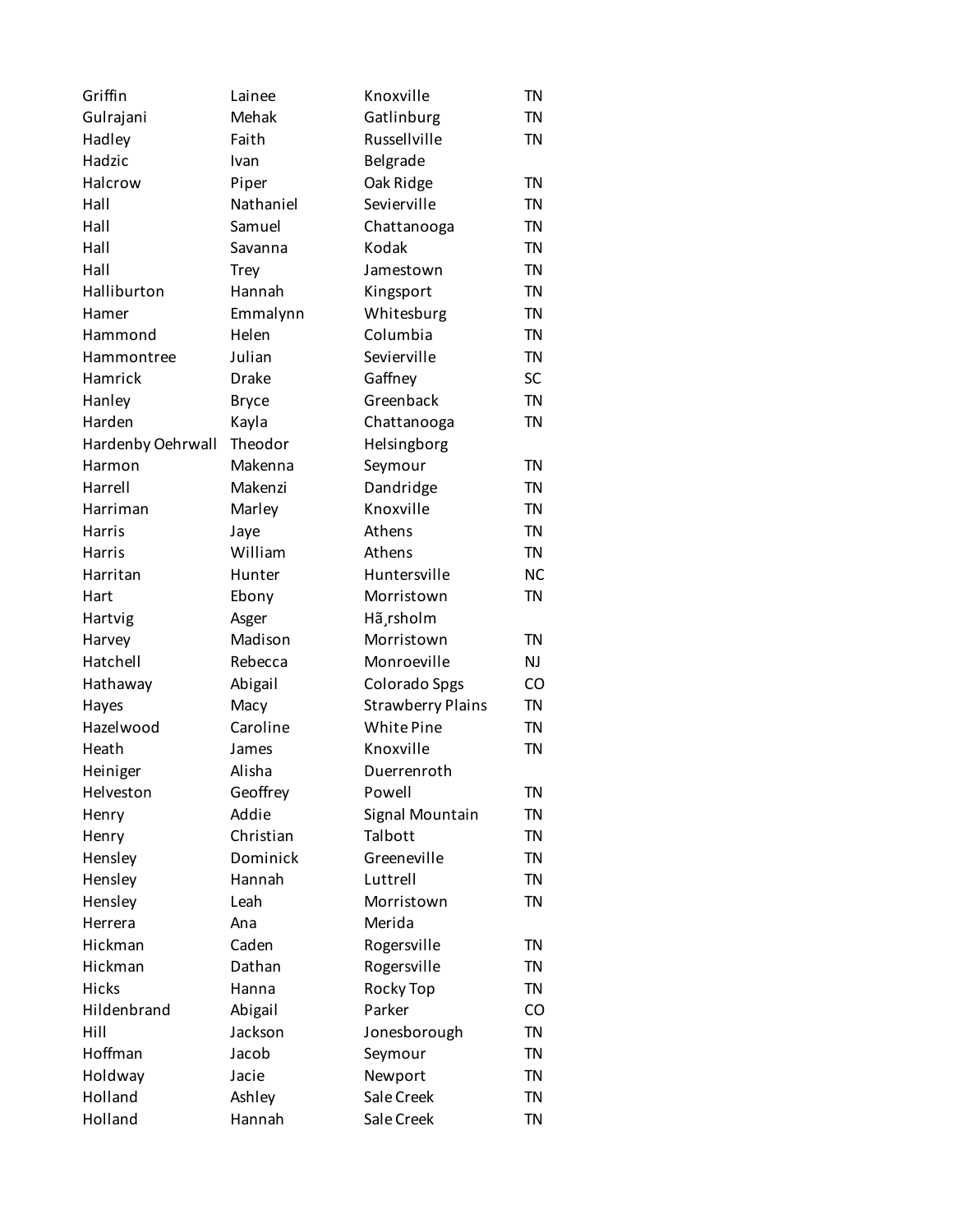| Griffin                     | Lainee       | Knoxville                | <b>TN</b> |
|-----------------------------|--------------|--------------------------|-----------|
| Gulrajani                   | Mehak        | Gatlinburg               | <b>TN</b> |
| Hadley                      | Faith        | Russellville             | <b>TN</b> |
| Hadzic                      | Ivan         | Belgrade                 |           |
| Halcrow                     | Piper        | Oak Ridge                | <b>TN</b> |
| Hall                        | Nathaniel    | Sevierville              | <b>TN</b> |
| Hall                        | Samuel       | Chattanooga              | <b>TN</b> |
| Hall                        | Savanna      | Kodak                    | <b>TN</b> |
| Hall                        | <b>Trey</b>  | Jamestown                | <b>TN</b> |
| Halliburton                 | Hannah       | Kingsport                | <b>TN</b> |
| Hamer                       | Emmalynn     | Whitesburg               | <b>TN</b> |
| Hammond                     | Helen        | Columbia                 | <b>TN</b> |
| Hammontree                  | Julian       | Sevierville              | <b>TN</b> |
| Hamrick                     | <b>Drake</b> | Gaffney                  | SC        |
| Hanley                      | <b>Bryce</b> | Greenback                | <b>TN</b> |
| Harden                      | Kayla        | Chattanooga              | <b>TN</b> |
|                             | Theodor      |                          |           |
| Hardenby Oehrwall<br>Harmon | Makenna      | Helsingborg              | <b>TN</b> |
|                             |              | Seymour                  |           |
| Harrell                     | Makenzi      | Dandridge                | <b>TN</b> |
| Harriman                    | Marley       | Knoxville                | <b>TN</b> |
| Harris                      | Jaye         | Athens                   | <b>TN</b> |
| Harris                      | William      | Athens                   | <b>TN</b> |
| Harritan                    | Hunter       | Huntersville             | <b>NC</b> |
| Hart                        | Ebony        | Morristown               | <b>TN</b> |
| Hartvig                     | Asger        | Hã rsholm                |           |
| Harvey                      | Madison      | Morristown               | <b>TN</b> |
| Hatchell                    | Rebecca      | Monroeville              | NJ        |
| Hathaway                    | Abigail      | Colorado Spgs            | CO        |
| Hayes                       | Macy         | <b>Strawberry Plains</b> | <b>TN</b> |
| Hazelwood                   | Caroline     | White Pine               | <b>TN</b> |
| Heath                       | James        | Knoxville                | <b>TN</b> |
| Heiniger                    | Alisha       | Duerrenroth              |           |
| Helveston                   | Geoffrey     | Powell                   | TN        |
| Henry                       | Addie        | Signal Mountain          | TN        |
| Henry                       | Christian    | Talbott                  | <b>TN</b> |
| Hensley                     | Dominick     | Greeneville              | <b>TN</b> |
| Hensley                     | Hannah       | Luttrell                 | <b>TN</b> |
| Hensley                     | Leah         | Morristown               | <b>TN</b> |
| Herrera                     | Ana          | Merida                   |           |
| Hickman                     | Caden        | Rogersville              | <b>TN</b> |
| Hickman                     | Dathan       | Rogersville              | <b>TN</b> |
| <b>Hicks</b>                | Hanna        | Rocky Top                | <b>TN</b> |
| Hildenbrand                 | Abigail      | Parker                   | CO        |
| Hill                        | Jackson      | Jonesborough             | <b>TN</b> |
| Hoffman                     | Jacob        | Seymour                  | <b>TN</b> |
| Holdway                     | Jacie        | Newport                  | <b>TN</b> |
| Holland                     | Ashley       | Sale Creek               | <b>TN</b> |
| Holland                     | Hannah       | Sale Creek               | <b>TN</b> |
|                             |              |                          |           |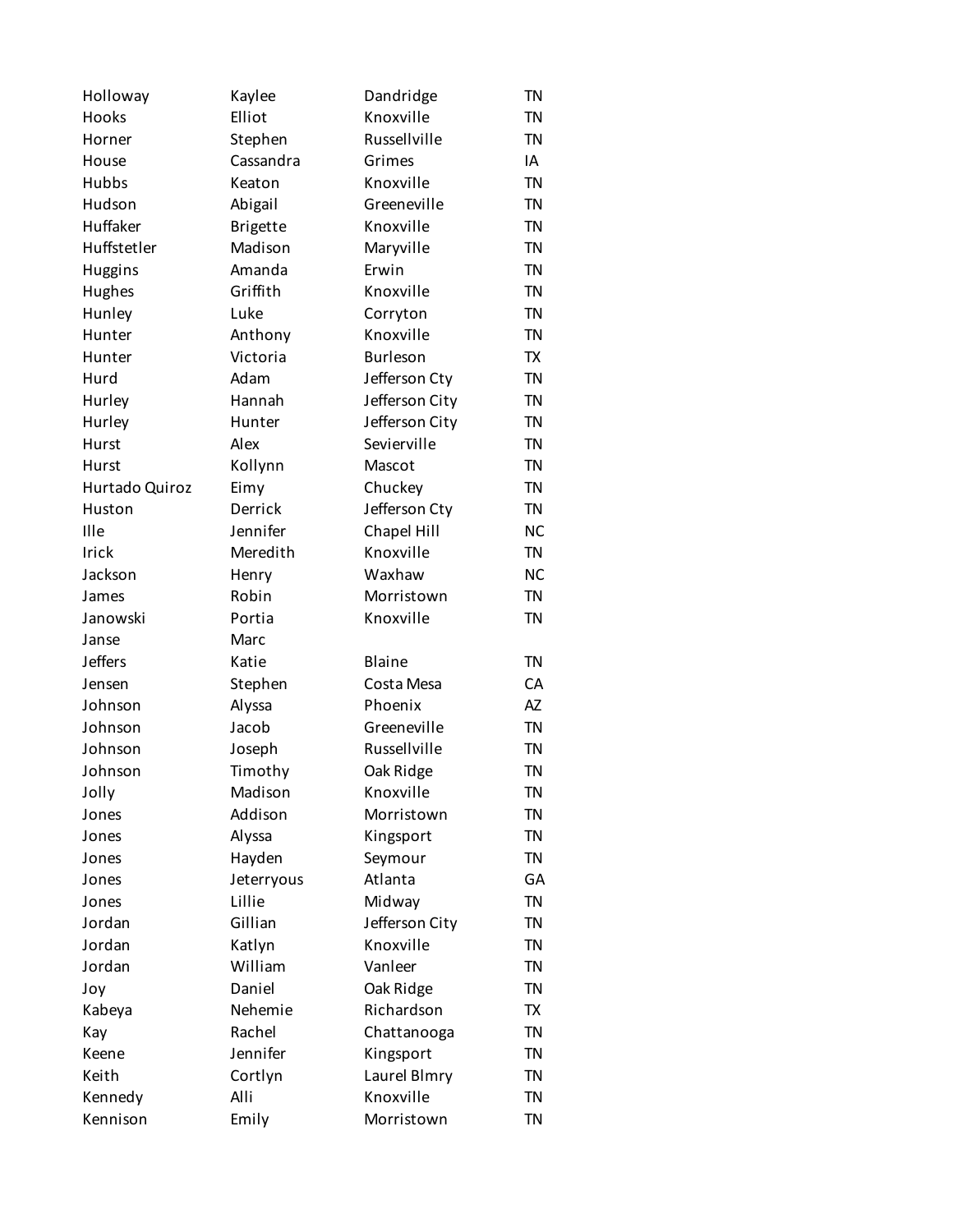| Holloway       | Kaylee          | Dandridge      | <b>TN</b> |
|----------------|-----------------|----------------|-----------|
| Hooks          | Elliot          | Knoxville      | <b>TN</b> |
| Horner         | Stephen         | Russellville   | <b>TN</b> |
| House          | Cassandra       | Grimes         | IA        |
| Hubbs          | Keaton          | Knoxville      | <b>TN</b> |
| Hudson         | Abigail         | Greeneville    | <b>TN</b> |
| Huffaker       | <b>Brigette</b> | Knoxville      | <b>TN</b> |
| Huffstetler    | Madison         | Maryville      | <b>TN</b> |
| <b>Huggins</b> | Amanda          | Erwin          | <b>TN</b> |
| Hughes         | Griffith        | Knoxville      | <b>TN</b> |
| Hunley         | Luke            | Corryton       | <b>TN</b> |
| Hunter         | Anthony         | Knoxville      | <b>TN</b> |
| Hunter         | Victoria        | Burleson       | TX        |
| Hurd           | Adam            | Jefferson Cty  | <b>TN</b> |
| Hurley         | Hannah          | Jefferson City | <b>TN</b> |
| Hurley         | Hunter          | Jefferson City | <b>TN</b> |
| <b>Hurst</b>   | Alex            | Sevierville    | <b>TN</b> |
|                |                 |                | <b>TN</b> |
| Hurst          | Kollynn         | Mascot         |           |
| Hurtado Quiroz | Eimy            | Chuckey        | <b>TN</b> |
| Huston         | Derrick         | Jefferson Cty  | <b>TN</b> |
| Ille           | Jennifer        | Chapel Hill    | <b>NC</b> |
| Irick          | Meredith        | Knoxville      | <b>TN</b> |
| Jackson        | Henry           | Waxhaw         | <b>NC</b> |
| James          | Robin           | Morristown     | <b>TN</b> |
| Janowski       | Portia          | Knoxville      | <b>TN</b> |
| Janse          | Marc            |                |           |
| <b>Jeffers</b> | Katie           | <b>Blaine</b>  | <b>TN</b> |
| Jensen         | Stephen         | Costa Mesa     | CA        |
| Johnson        | Alyssa          | Phoenix        | AZ        |
| Johnson        | Jacob           | Greeneville    | <b>TN</b> |
| Johnson        | Joseph          | Russellville   | <b>TN</b> |
| Johnson        | Timothy         | Oak Ridge      | <b>TN</b> |
| Jolly          | Madison         | Knoxville      | ΤN        |
| Jones          | Addison         | Morristown     | <b>TN</b> |
| Jones          | Alyssa          | Kingsport      | <b>TN</b> |
| Jones          | Hayden          | Seymour        | <b>TN</b> |
| Jones          | Jeterryous      | Atlanta        | GA        |
| Jones          | Lillie          | Midway         | <b>TN</b> |
| Jordan         | Gillian         | Jefferson City | <b>TN</b> |
| Jordan         | Katlyn          | Knoxville      | <b>TN</b> |
| Jordan         | William         | Vanleer        | <b>TN</b> |
| Joy            | Daniel          | Oak Ridge      | <b>TN</b> |
| Kabeya         | Nehemie         | Richardson     | <b>TX</b> |
| Kay            | Rachel          | Chattanooga    | <b>TN</b> |
| Keene          | Jennifer        | Kingsport      | <b>TN</b> |
| Keith          | Cortlyn         | Laurel Blmry   | <b>TN</b> |
| Kennedy        | Alli            | Knoxville      | <b>TN</b> |
|                |                 |                | <b>TN</b> |
| Kennison       | Emily           | Morristown     |           |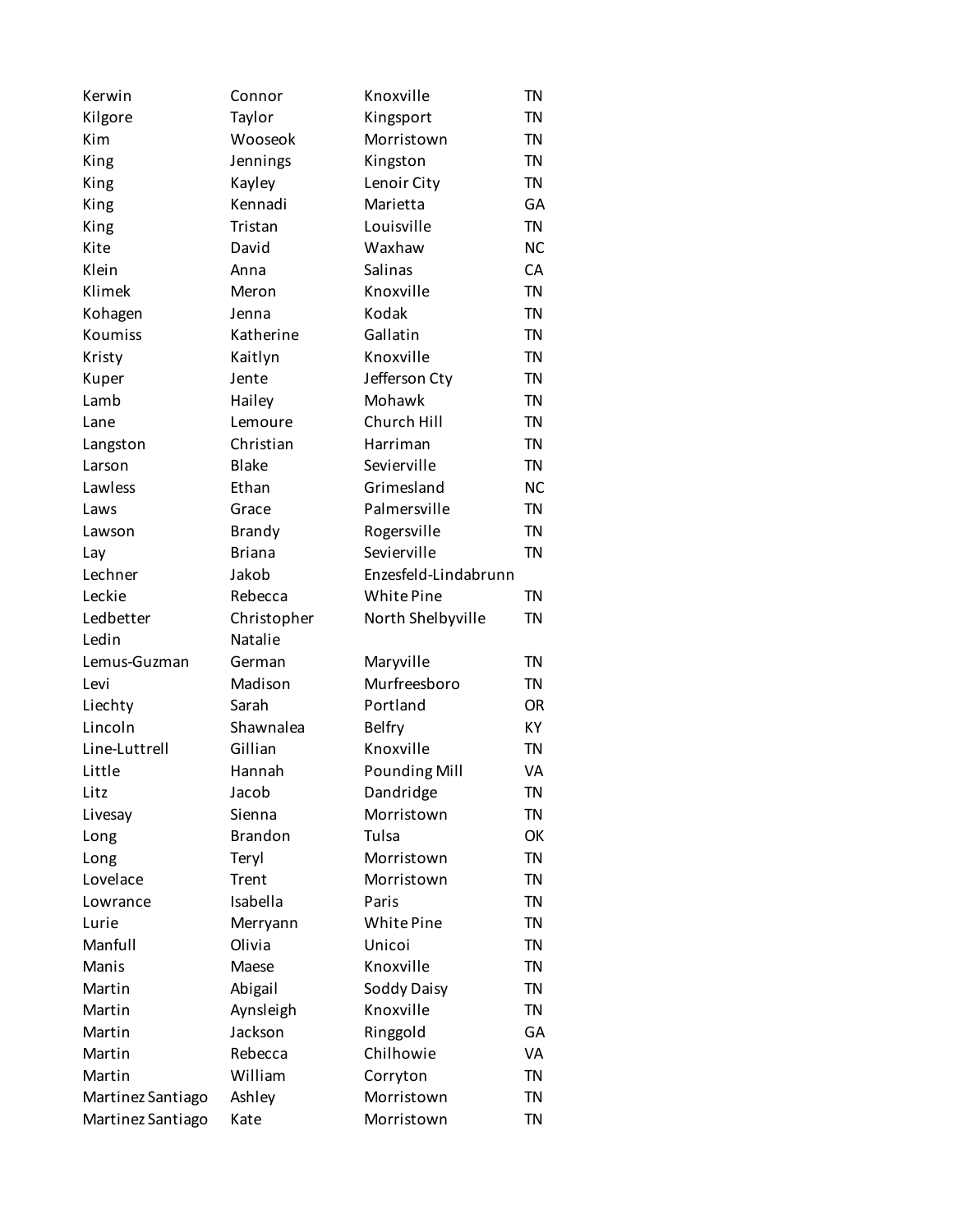| Kerwin             | Connor         | Knoxville            | <b>TN</b> |
|--------------------|----------------|----------------------|-----------|
| Kilgore            | Taylor         | Kingsport            | <b>TN</b> |
| Kim                | Wooseok        | Morristown           | <b>TN</b> |
| King               | Jennings       | Kingston             | <b>TN</b> |
| King               | Kayley         | Lenoir City          | <b>TN</b> |
| King               | Kennadi        | Marietta             | GA        |
| King               | Tristan        | Louisville           | <b>TN</b> |
| Kite               | David          | Waxhaw               | <b>NC</b> |
| Klein              | Anna           | Salinas              | CA        |
| Klimek             | Meron          | Knoxville            | <b>TN</b> |
| Kohagen            | Jenna          | Kodak                | <b>TN</b> |
| Koumiss            | Katherine      | Gallatin             | <b>TN</b> |
| Kristy             | Kaitlyn        | Knoxville            | <b>TN</b> |
| Kuper              | Jente          | Jefferson Cty        | <b>TN</b> |
| Lamb               | Hailey         | Mohawk               | <b>TN</b> |
| Lane               | Lemoure        | Church Hill          | <b>TN</b> |
|                    | Christian      | Harriman             | <b>TN</b> |
| Langston<br>Larson | <b>Blake</b>   | Sevierville          | <b>TN</b> |
|                    |                | Grimesland           |           |
| Lawless            | Ethan          |                      | <b>NC</b> |
| Laws               | Grace          | Palmersville         | <b>TN</b> |
| Lawson             | <b>Brandy</b>  | Rogersville          | <b>TN</b> |
| Lay                | <b>Briana</b>  | Sevierville          | <b>TN</b> |
| Lechner            | Jakob          | Enzesfeld-Lindabrunn |           |
| Leckie             | Rebecca        | White Pine           | <b>TN</b> |
| Ledbetter          | Christopher    | North Shelbyville    | <b>TN</b> |
| Ledin              | Natalie        |                      |           |
| Lemus-Guzman       | German         | Maryville            | <b>TN</b> |
| Levi               | Madison        | Murfreesboro         | <b>TN</b> |
| Liechty            | Sarah          | Portland             | <b>OR</b> |
| Lincoln            | Shawnalea      | <b>Belfry</b>        | <b>KY</b> |
| Line-Luttrell      | Gillian        | Knoxville            | <b>TN</b> |
| Little             | Hannah         | <b>Pounding Mill</b> | VA        |
| Litz               | Jacob          | Dandridge            | <b>TN</b> |
| Livesay            | Sienna         | Morristown           | <b>TN</b> |
| Long               | <b>Brandon</b> | Tulsa                | OK        |
| Long               | Teryl          | Morristown           | <b>TN</b> |
| Lovelace           | Trent          | Morristown           | <b>TN</b> |
| Lowrance           | Isabella       | Paris                | <b>TN</b> |
| Lurie              | Merryann       | White Pine           | <b>TN</b> |
| Manfull            | Olivia         | Unicoi               | <b>TN</b> |
| Manis              | Maese          | Knoxville            | <b>TN</b> |
| Martin             | Abigail        | Soddy Daisy          | <b>TN</b> |
| Martin             | Aynsleigh      | Knoxville            | <b>TN</b> |
| Martin             | Jackson        | Ringgold             | GA        |
| Martin             | Rebecca        | Chilhowie            | VA        |
| Martin             | William        | Corryton             | <b>TN</b> |
| Martinez Santiago  | Ashley         | Morristown           | <b>TN</b> |
| Martinez Santiago  | Kate           | Morristown           | <b>TN</b> |
|                    |                |                      |           |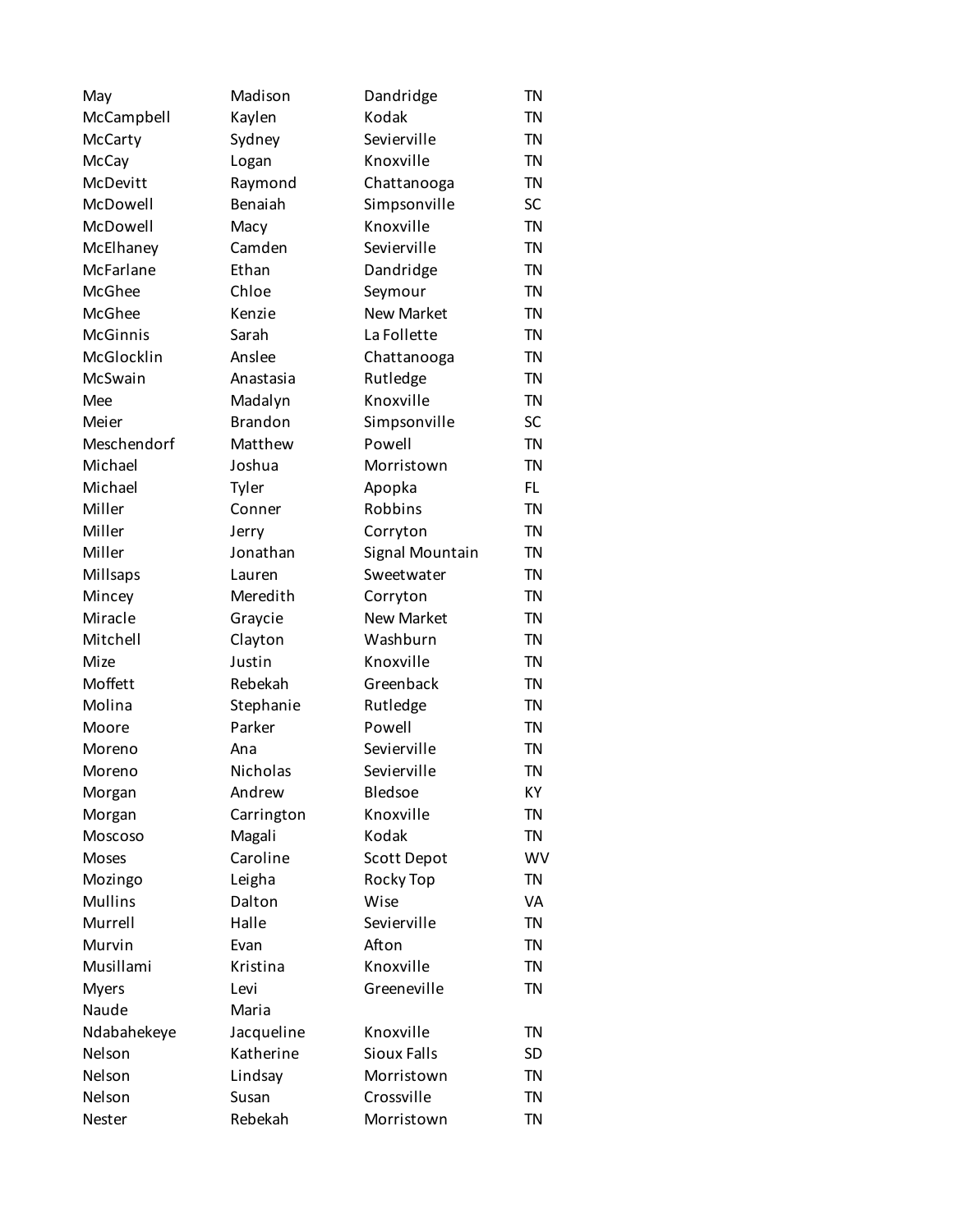| May             | Madison        | Dandridge         | <b>TN</b> |
|-----------------|----------------|-------------------|-----------|
| McCampbell      | Kaylen         | Kodak             | <b>TN</b> |
| McCarty         | Sydney         | Sevierville       | <b>TN</b> |
| <b>McCay</b>    | Logan          | Knoxville         | <b>TN</b> |
| McDevitt        | Raymond        | Chattanooga       | <b>TN</b> |
| McDowell        | Benaiah        | Simpsonville      | SC        |
| McDowell        | Macy           | Knoxville         | <b>TN</b> |
| McElhaney       | Camden         | Sevierville       | <b>TN</b> |
| McFarlane       | Ethan          | Dandridge         | <b>TN</b> |
| McGhee          | Chloe          | Seymour           | <b>TN</b> |
| McGhee          | Kenzie         | <b>New Market</b> | <b>TN</b> |
| <b>McGinnis</b> | Sarah          | La Follette       | <b>TN</b> |
| McGlocklin      | Anslee         | Chattanooga       | <b>TN</b> |
| McSwain         | Anastasia      | Rutledge          | <b>TN</b> |
| Mee             | Madalyn        | Knoxville         | <b>TN</b> |
| Meier           | <b>Brandon</b> | Simpsonville      | <b>SC</b> |
| Meschendorf     | Matthew        | Powell            | <b>TN</b> |
| Michael         | Joshua         | Morristown        | <b>TN</b> |
| Michael         | Tyler          | Apopka            | FL.       |
| Miller          | Conner         | Robbins           | <b>TN</b> |
| Miller          | Jerry          | Corryton          | <b>TN</b> |
| Miller          | Jonathan       | Signal Mountain   | <b>TN</b> |
| Millsaps        | Lauren         | Sweetwater        | <b>TN</b> |
| Mincey          | Meredith       | Corryton          | <b>TN</b> |
| Miracle         | Graycie        | <b>New Market</b> | <b>TN</b> |
| Mitchell        | Clayton        | Washburn          | <b>TN</b> |
| Mize            | Justin         | Knoxville         | <b>TN</b> |
| Moffett         | Rebekah        | Greenback         | <b>TN</b> |
| Molina          | Stephanie      | Rutledge          | <b>TN</b> |
| Moore           | Parker         | Powell            | <b>TN</b> |
| Moreno          | Ana            | Sevierville       | <b>TN</b> |
| Moreno          | Nicholas       | Sevierville       | <b>TN</b> |
| Morgan          | Andrew         | Bledsoe           | KY        |
| Morgan          | Carrington     | Knoxville         | <b>TN</b> |
| Moscoso         | Magali         | Kodak             | <b>TN</b> |
| <b>Moses</b>    | Caroline       | Scott Depot       | WV        |
| Mozingo         | Leigha         | Rocky Top         | <b>TN</b> |
| <b>Mullins</b>  | Dalton         | Wise              | VA        |
| Murrell         | Halle          | Sevierville       | <b>TN</b> |
| Murvin          | Evan           | Afton             | <b>TN</b> |
| Musillami       | Kristina       | Knoxville         | <b>TN</b> |
| <b>Myers</b>    | Levi           | Greeneville       | <b>TN</b> |
| Naude           | Maria          |                   |           |
| Ndabahekeye     | Jacqueline     | Knoxville         | <b>TN</b> |
| Nelson          | Katherine      | Sioux Falls       | <b>SD</b> |
| Nelson          | Lindsay        | Morristown        | <b>TN</b> |
| Nelson          | Susan          | Crossville        | <b>TN</b> |
| Nester          | Rebekah        | Morristown        | <b>TN</b> |
|                 |                |                   |           |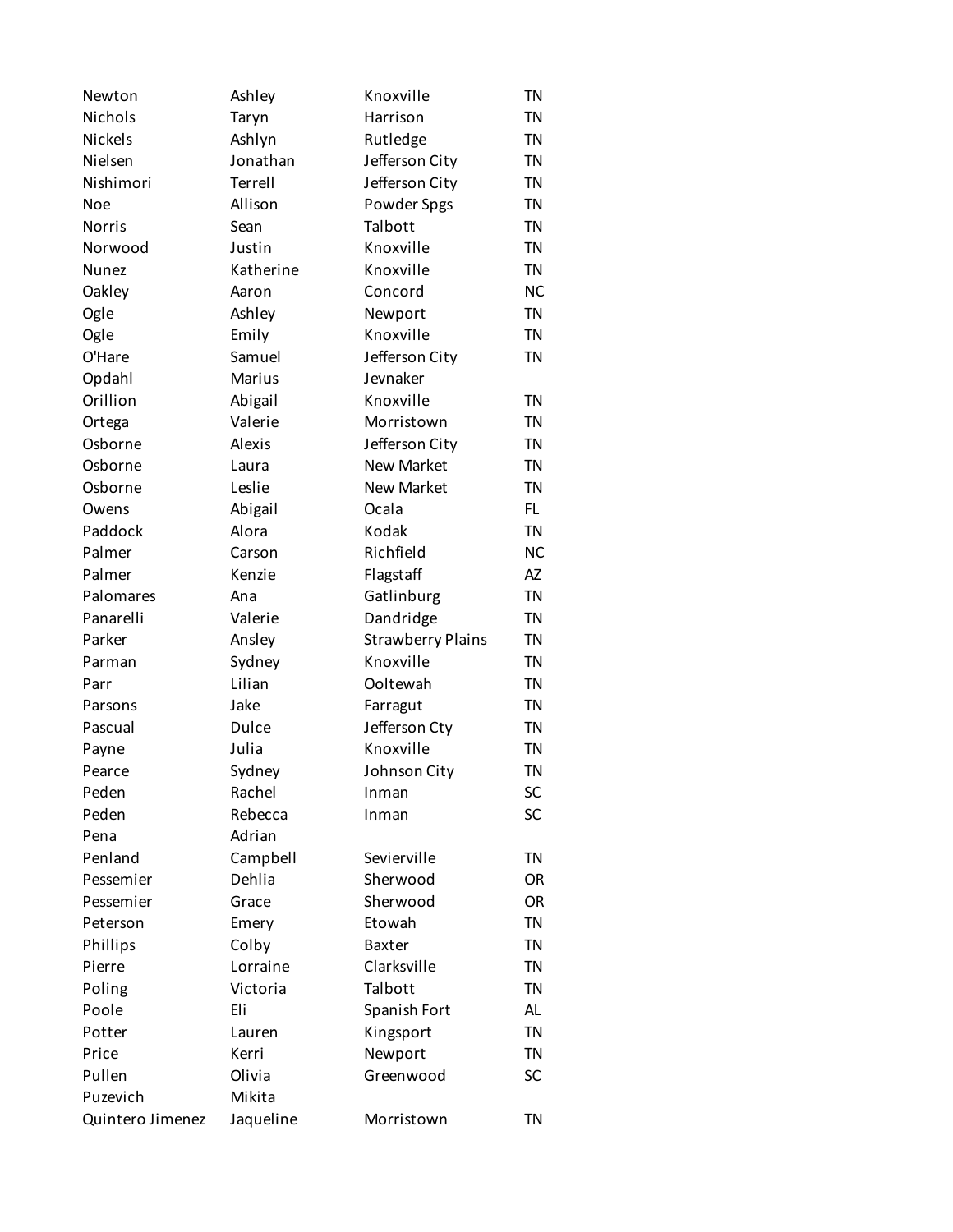| Newton           | Ashley    | Knoxville                | <b>TN</b> |
|------------------|-----------|--------------------------|-----------|
| Nichols          | Taryn     | Harrison                 | <b>TN</b> |
| <b>Nickels</b>   | Ashlyn    | Rutledge                 | <b>TN</b> |
| Nielsen          | Jonathan  | Jefferson City           | <b>TN</b> |
| Nishimori        | Terrell   | Jefferson City           | <b>TN</b> |
| <b>Noe</b>       | Allison   | Powder Spgs              | <b>TN</b> |
| <b>Norris</b>    | Sean      | Talbott                  | <b>TN</b> |
| Norwood          | Justin    | Knoxville                | <b>TN</b> |
| <b>Nunez</b>     | Katherine | Knoxville                | <b>TN</b> |
| Oakley           | Aaron     | Concord                  | <b>NC</b> |
| Ogle             | Ashley    | Newport                  | <b>TN</b> |
| Ogle             | Emily     | Knoxville                | <b>TN</b> |
| O'Hare           | Samuel    | Jefferson City           | <b>TN</b> |
| Opdahl           | Marius    | Jevnaker                 |           |
| Orillion         | Abigail   | Knoxville                | <b>TN</b> |
| Ortega           | Valerie   | Morristown               | <b>TN</b> |
| Osborne          | Alexis    | Jefferson City           | <b>TN</b> |
| Osborne          | Laura     | <b>New Market</b>        | <b>TN</b> |
| Osborne          | Leslie    | <b>New Market</b>        | <b>TN</b> |
| Owens            | Abigail   | Ocala                    | FL.       |
| Paddock          | Alora     | Kodak                    | <b>TN</b> |
| Palmer           | Carson    | Richfield                | <b>NC</b> |
| Palmer           |           |                          | AZ        |
|                  | Kenzie    | Flagstaff                | <b>TN</b> |
| Palomares        | Ana       | Gatlinburg               |           |
| Panarelli        | Valerie   | Dandridge                | <b>TN</b> |
| Parker           | Ansley    | <b>Strawberry Plains</b> | <b>TN</b> |
| Parman           | Sydney    | Knoxville                | <b>TN</b> |
| Parr             | Lilian    | Ooltewah                 | <b>TN</b> |
| Parsons          | Jake      | Farragut                 | <b>TN</b> |
| Pascual          | Dulce     | Jefferson Cty            | <b>TN</b> |
| Payne            | Julia     | Knoxville                | <b>TN</b> |
| Pearce           | Sydney    | Johnson City             | <b>TN</b> |
| Peden            | Rachel    | Inman                    | SC        |
| Peden            | Rebecca   | Inman                    | SC        |
| Pena             | Adrian    |                          |           |
| Penland          | Campbell  | Sevierville              | <b>TN</b> |
| Pessemier        | Dehlia    | Sherwood                 | <b>OR</b> |
| Pessemier        | Grace     | Sherwood                 | <b>OR</b> |
| Peterson         | Emery     | Etowah                   | <b>TN</b> |
| Phillips         | Colby     | <b>Baxter</b>            | <b>TN</b> |
| Pierre           | Lorraine  | Clarksville              | <b>TN</b> |
| Poling           | Victoria  | Talbott                  | <b>TN</b> |
| Poole            | Eli       | Spanish Fort             | AL        |
| Potter           | Lauren    | Kingsport                | <b>TN</b> |
| Price            | Kerri     | Newport                  | <b>TN</b> |
| Pullen           | Olivia    | Greenwood                | SC        |
| Puzevich         | Mikita    |                          |           |
| Quintero Jimenez | Jaqueline | Morristown               | <b>TN</b> |
|                  |           |                          |           |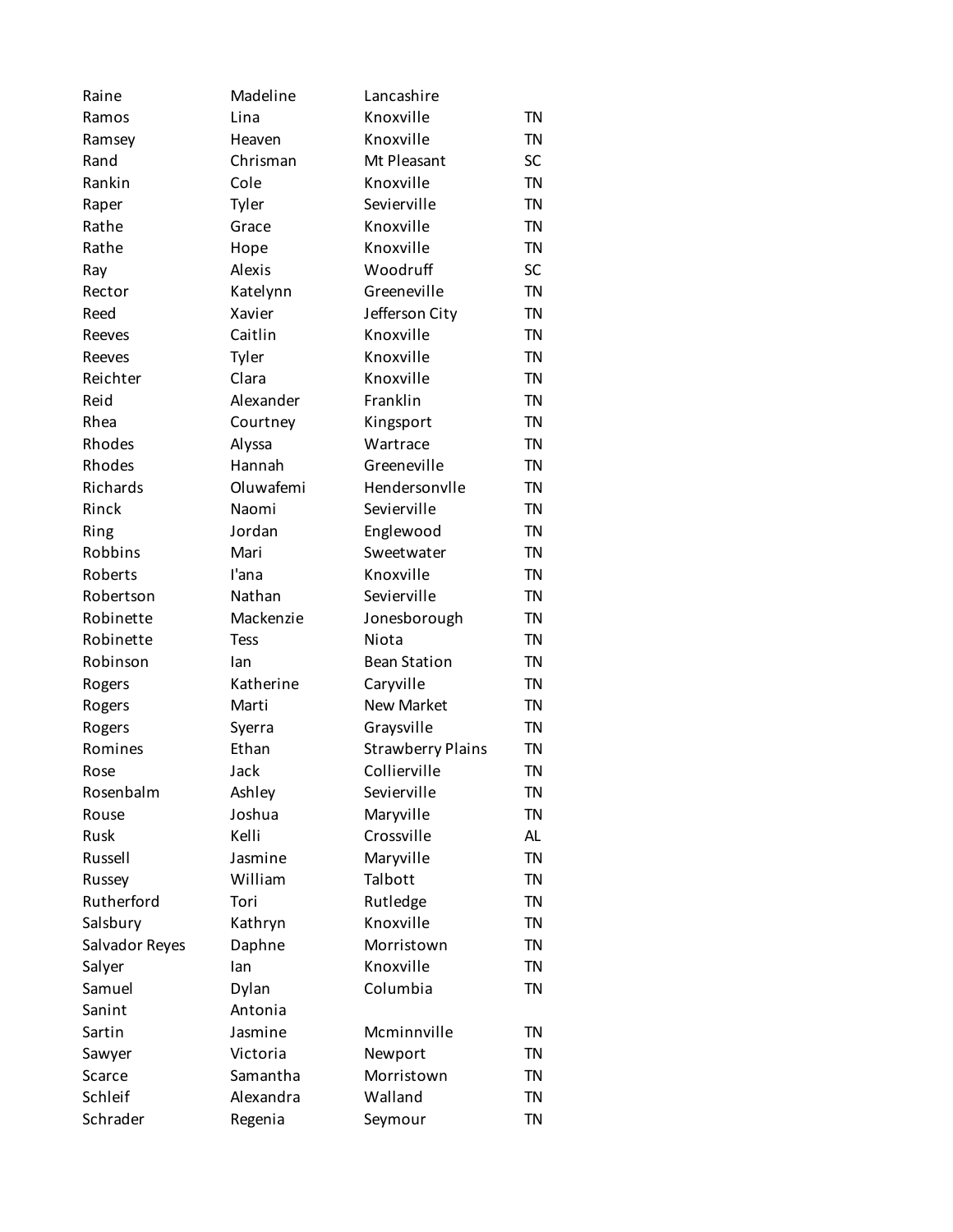| Raine          | Madeline        | Lancashire                               |           |
|----------------|-----------------|------------------------------------------|-----------|
| Ramos          | Lina            | Knoxville                                | <b>TN</b> |
| Ramsey         | Heaven          | Knoxville                                | <b>TN</b> |
| Rand           | Chrisman        | Mt Pleasant                              | <b>SC</b> |
| Rankin         | Cole            | Knoxville                                | <b>TN</b> |
| Raper          | Tyler           | Sevierville                              | <b>TN</b> |
| Rathe          | Grace           | Knoxville                                | <b>TN</b> |
| Rathe          | Hope            | Knoxville                                | <b>TN</b> |
| Ray            | Alexis          | Woodruff                                 | <b>SC</b> |
| Rector         | Katelynn        | Greeneville                              | <b>TN</b> |
| Reed           | Xavier          | Jefferson City                           | <b>TN</b> |
| Reeves         | Caitlin         | Knoxville                                | <b>TN</b> |
| Reeves         | Tyler           | Knoxville                                | <b>TN</b> |
| Reichter       | Clara           | Knoxville                                | <b>TN</b> |
| Reid           | Alexander       | Franklin                                 | <b>TN</b> |
| Rhea           | Courtney        | Kingsport                                | <b>TN</b> |
| Rhodes         | Alyssa          | Wartrace                                 | <b>TN</b> |
| Rhodes         | Hannah          | Greeneville                              | <b>TN</b> |
| Richards       | Oluwafemi       | Hendersonvlle                            | <b>TN</b> |
| Rinck          | Naomi           | Sevierville                              | <b>TN</b> |
| Ring           | Jordan          | Englewood                                | <b>TN</b> |
| Robbins        | Mari            | Sweetwater                               | <b>TN</b> |
| Roberts        | l'ana           | Knoxville                                | <b>TN</b> |
| Robertson      | Nathan          | Sevierville                              | <b>TN</b> |
| Robinette      | Mackenzie       | Jonesborough                             | <b>TN</b> |
| Robinette      | <b>Tess</b>     | Niota                                    | <b>TN</b> |
| Robinson       | lan             | <b>Bean Station</b>                      | <b>TN</b> |
|                | Katherine       | Caryville                                | <b>TN</b> |
| Rogers         |                 | <b>New Market</b>                        | <b>TN</b> |
| Rogers         | Marti           |                                          | <b>TN</b> |
| Rogers         | Syerra<br>Ethan | Graysville                               | <b>TN</b> |
| Romines        |                 | <b>Strawberry Plains</b><br>Collierville |           |
| Rose           | Jack            |                                          | <b>TN</b> |
| Rosenbalm      | Ashley          | Sevierville                              | ΤN        |
| Rouse          | Joshua          | Maryville                                | <b>TN</b> |
| <b>Rusk</b>    | Kelli           | Crossville                               | AL        |
| Russell        | Jasmine         | Maryville                                | <b>TN</b> |
| Russey         | William         | Talbott                                  | <b>TN</b> |
| Rutherford     | Tori            | Rutledge                                 | <b>TN</b> |
| Salsbury       | Kathryn         | Knoxville                                | <b>TN</b> |
| Salvador Reyes | Daphne          | Morristown                               | <b>TN</b> |
| Salyer         | lan             | Knoxville                                | <b>TN</b> |
| Samuel         | Dylan           | Columbia                                 | <b>TN</b> |
| Sanint         | Antonia         |                                          |           |
| Sartin         | Jasmine         | Mcminnville                              | <b>TN</b> |
| Sawyer         | Victoria        | Newport                                  | <b>TN</b> |
| Scarce         | Samantha        | Morristown                               | <b>TN</b> |
| Schleif        | Alexandra       | Walland                                  | <b>TN</b> |
| Schrader       | Regenia         | Seymour                                  | <b>TN</b> |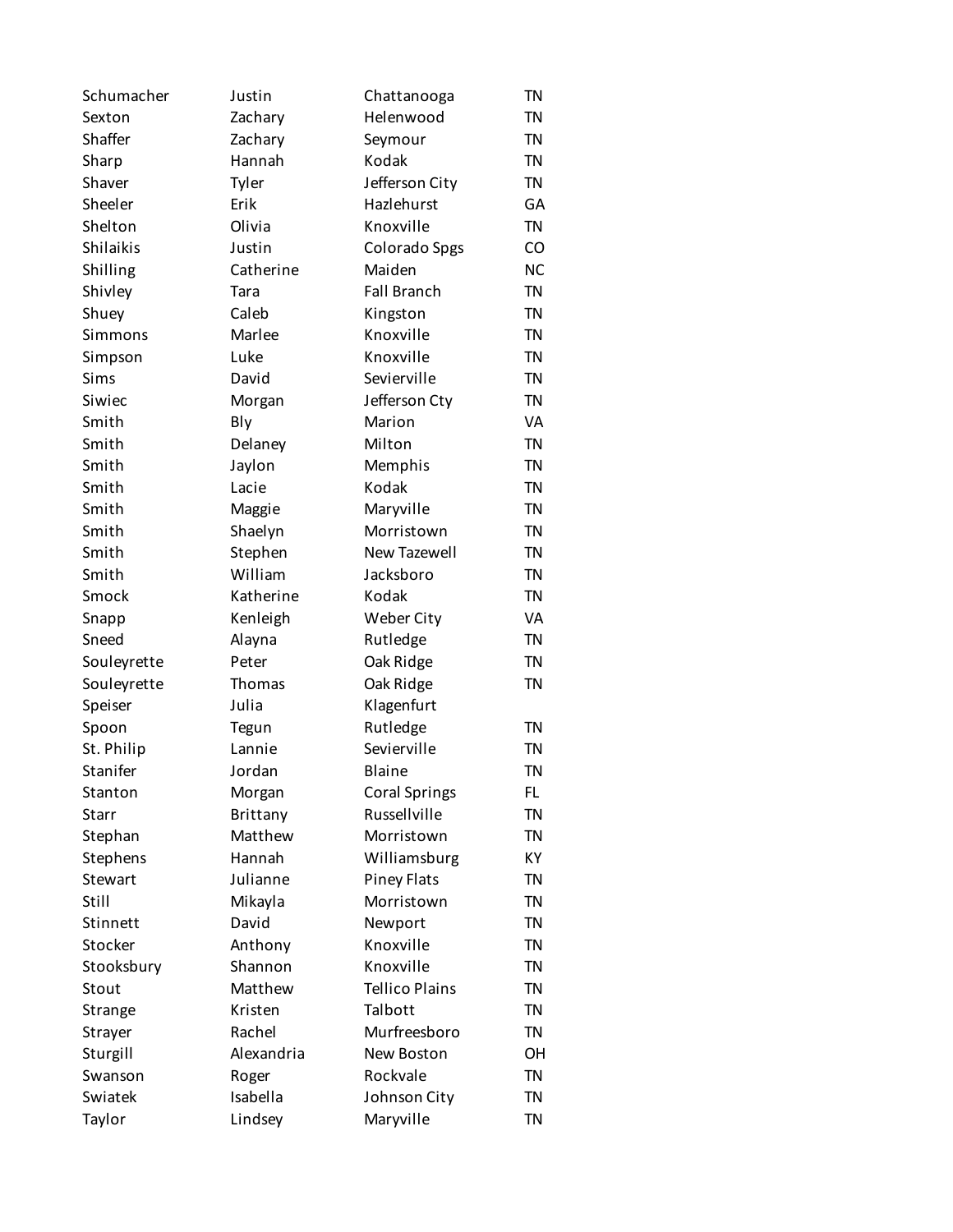| Schumacher     | Justin     | Chattanooga           | TN        |
|----------------|------------|-----------------------|-----------|
| Sexton         | Zachary    | Helenwood             | <b>TN</b> |
| Shaffer        | Zachary    | Seymour               | <b>TN</b> |
| Sharp          | Hannah     | Kodak                 | <b>TN</b> |
| Shaver         | Tyler      | Jefferson City        | <b>TN</b> |
| Sheeler        | Erik       | Hazlehurst            | GA        |
| Shelton        | Olivia     | Knoxville             | <b>TN</b> |
| Shilaikis      | Justin     | Colorado Spgs         | CO        |
| Shilling       | Catherine  | Maiden                | <b>NC</b> |
| Shivley        | Tara       | <b>Fall Branch</b>    | <b>TN</b> |
| Shuey          | Caleb      | Kingston              | <b>TN</b> |
| Simmons        | Marlee     | Knoxville             | <b>TN</b> |
| Simpson        | Luke       | Knoxville             | <b>TN</b> |
| Sims           | David      | Sevierville           | <b>TN</b> |
| Siwiec         | Morgan     | Jefferson Cty         | <b>TN</b> |
| Smith          | Bly        | Marion                | VA        |
| Smith          | Delaney    | Milton                | <b>TN</b> |
| Smith          | Jaylon     | Memphis               | <b>TN</b> |
| Smith          | Lacie      | Kodak                 | <b>TN</b> |
| Smith          | Maggie     | Maryville             | <b>TN</b> |
| Smith          | Shaelyn    | Morristown            | <b>TN</b> |
| Smith          | Stephen    | New Tazewell          | <b>TN</b> |
| Smith          | William    | Jacksboro             | <b>TN</b> |
| Smock          | Katherine  | Kodak                 | <b>TN</b> |
|                |            |                       | VA        |
| Snapp          | Kenleigh   | Weber City            |           |
| Sneed          | Alayna     | Rutledge              | <b>TN</b> |
| Souleyrette    | Peter      | Oak Ridge             | <b>TN</b> |
| Souleyrette    | Thomas     | Oak Ridge             | <b>TN</b> |
| Speiser        | Julia      | Klagenfurt            |           |
| Spoon          | Tegun      | Rutledge              | <b>TN</b> |
| St. Philip     | Lannie     | Sevierville           | <b>TN</b> |
| Stanifer       | Jordan     | Blaine                | <b>TN</b> |
| Stanton        | Morgan     | <b>Coral Springs</b>  | FL.       |
| Starr          | Brittany   | Russellville          | <b>TN</b> |
| Stephan        | Matthew    | Morristown            | <b>TN</b> |
| Stephens       | Hannah     | Williamsburg          | KY        |
| <b>Stewart</b> | Julianne   | <b>Piney Flats</b>    | <b>TN</b> |
| Still          | Mikayla    | Morristown            | <b>TN</b> |
| Stinnett       | David      | Newport               | <b>TN</b> |
| Stocker        | Anthony    | Knoxville             | <b>TN</b> |
| Stooksbury     | Shannon    | Knoxville             | <b>TN</b> |
| Stout          | Matthew    | <b>Tellico Plains</b> | <b>TN</b> |
| Strange        | Kristen    | Talbott               | <b>TN</b> |
| Strayer        | Rachel     | Murfreesboro          | <b>TN</b> |
| Sturgill       | Alexandria | New Boston            | OH        |
| Swanson        | Roger      | Rockvale              | <b>TN</b> |
| Swiatek        | Isabella   | Johnson City          | <b>TN</b> |
| Taylor         | Lindsey    | Maryville             | <b>TN</b> |
|                |            |                       |           |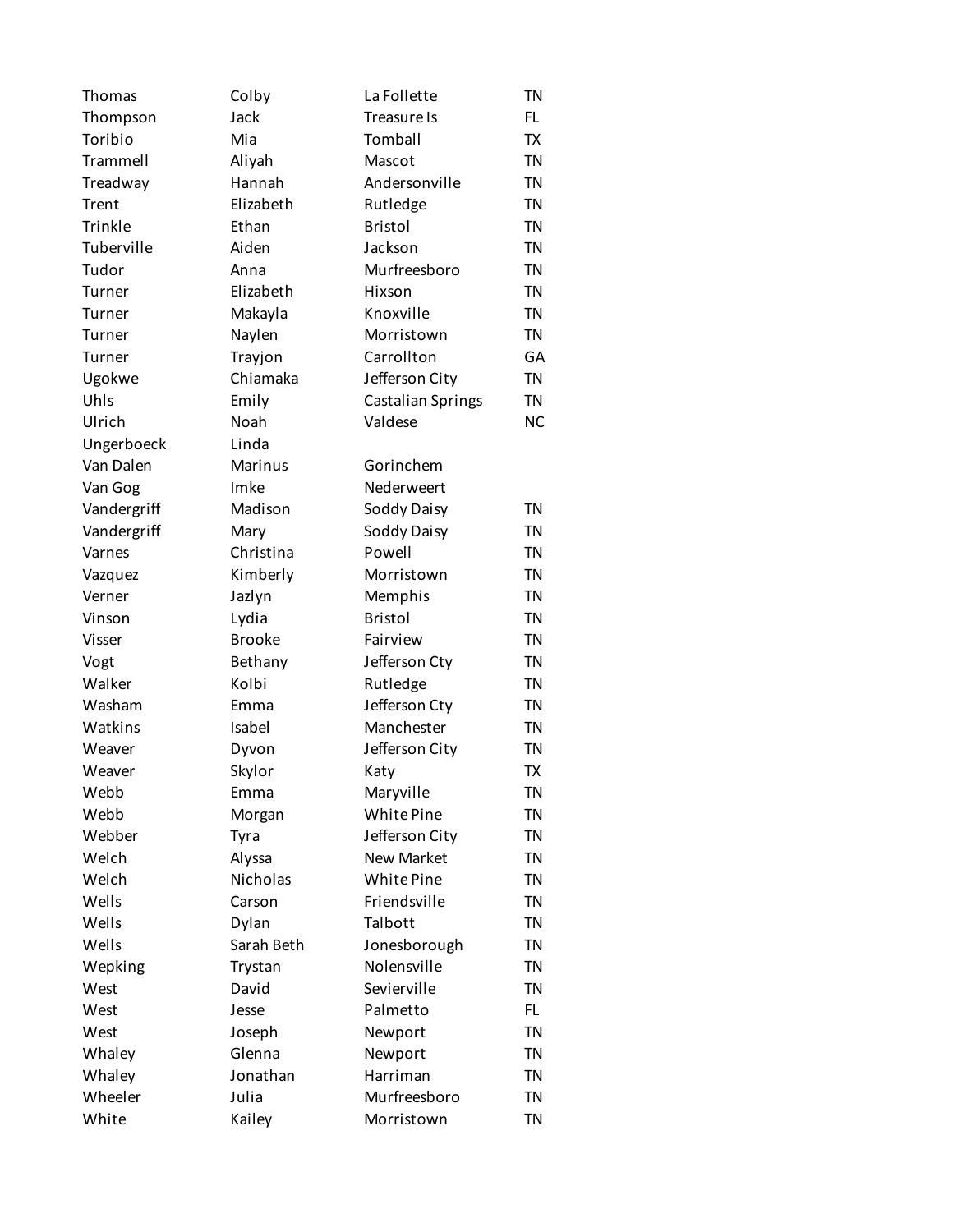Thomas Colby La Follette TN Thompson Jack Treasure Is FL Toribio Mia Tomball TX Trammell Aliyah Mascot TN Treadway Hannah Andersonville TN Trent Elizabeth Rutledge TN Trinkle Ethan Bristol TN Tuberville Aiden Jackson TN Tudor Anna Murfreesboro TN Turner Elizabeth Hixson TN Turner Makayla Knoxville TN Turner Naylen Morristown TN Turner Trayjon Carrollton GA Ugokwe Chiamaka Jefferson City TN Uhls Emily Castalian Springs TN Ulrich Noah Valdese NC Ungerboeck Linda Van Dalen Marinus Gorinchem Van Gog Imke Nederweert Vandergriff Madison Soddy Daisy TN Vandergriff Mary Soddy Daisy TN Varnes Christina Powell TN Vazquez Kimberly Morristown TN Verner Jazlyn Memphis TN Vinson Lydia Bristol TN Visser Brooke Fairview TN Vogt Bethany Jefferson Cty TN Walker Kolbi Rutledge TN Washam Emma Jefferson Cty TN Watkins Isabel Manchester TN Weaver **Dyvon** Jefferson City TN Weaver Skylor Katy TX Webb Emma Maryville TN Webb Morgan White Pine TN Webber Tyra Jefferson City TN Welch Alyssa New Market TN Welch Nicholas White Pine TN Wells Carson Friendsville TN Wells **Dylan** Talbott TN Wells Sarah Beth Jonesborough TN Wepking Trystan Nolensville TN West **David** Sevierville TN West **Jesse** Palmetto FL West **Solution Dept** Joseph Newport TN Whaley Glenna Newport TN Whaley **Jonathan** Harriman TN Wheeler Julia Murfreesboro TN White **Kailey** Morristown TN